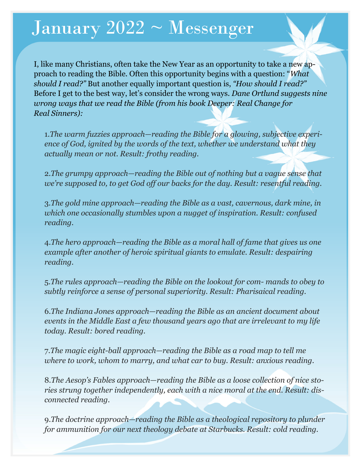## January  $2022 \sim$  Messenger

I, like many Christians, often take the New Year as an opportunity to take a new approach to reading the Bible. Often this opportunity begins with a question: "*What should I read?"* But another equally important question is, *"How should I read?"*  Before I get to the best way, let's consider the wrong ways. *Dane Ortlund suggests nine wrong ways that we read the Bible (from his book Deeper: Real Change for Real Sinners):* 

1.*The warm fuzzies approach—reading the Bible for a glowing, subjective experience of God, ignited by the words of the text, whether we understand what they actually mean or not. Result: frothy reading.*

2.*The grumpy approach—reading the Bible out of nothing but a vague sense that we're supposed to, to get God off our backs for the day. Result: resentful reading.*

3.*The gold mine approach—reading the Bible as a vast, cavernous, dark mine, in which one occasionally stumbles upon a nugget of inspiration. Result: confused reading.*

4.*The hero approach—reading the Bible as a moral hall of fame that gives us one example after another of heroic spiritual giants to emulate. Result: despairing reading.*

5.*The rules approach—reading the Bible on the lookout for com- mands to obey to subtly reinforce a sense of personal superiority. Result: Pharisaical reading.*

6.*The Indiana Jones approach—reading the Bible as an ancient document about events in the Middle East a few thousand years ago that are irrelevant to my life today. Result: bored reading.*

7.*The magic eight-ball approach—reading the Bible as a road map to tell me where to work, whom to marry, and what car to buy. Result: anxious reading.*

8.*The Aesop's Fables approach—reading the Bible as a loose collection of nice stories strung together independently, each with a nice moral at the end. Result: disconnected reading.*

9.*The doctrine approach—reading the Bible as a theological repository to plunder for ammunition for our next theology debate at Starbucks. Result: cold reading.*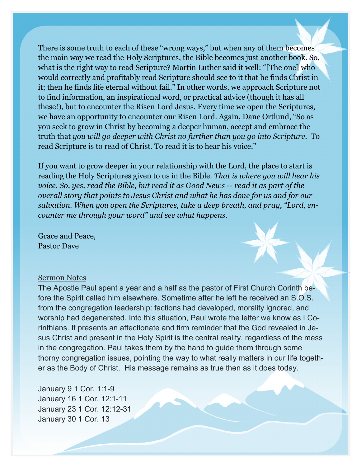There is some truth to each of these "wrong ways," but when any of them becomes the main way we read the Holy Scriptures, the Bible becomes just another book. So, what is the right way to read Scripture? Martin Luther said it well: "[The one] who would correctly and profitably read Scripture should see to it that he finds Christ in it; then he finds life eternal without fail." In other words, we approach Scripture not to find information, an inspirational word, or practical advice (though it has all these!), but to encounter the Risen Lord Jesus. Every time we open the Scriptures, we have an opportunity to encounter our Risen Lord. Again, Dane Ortlund, "So as you seek to grow in Christ by becoming a deeper human, accept and embrace the truth that *you will go deeper with Christ no further than you go into Scripture.* To read Scripture is to read of Christ. To read it is to hear his voice."

If you want to grow deeper in your relationship with the Lord, the place to start is reading the Holy Scriptures given to us in the Bible. *That is where you will hear his voice. So, yes, read the Bible, but read it as Good News -- read it as part of the overall story that points to Jesus Christ and what he has done for us and for our salvation. When you open the Scriptures, take a deep breath, and pray, "Lord, encounter me through your word" and see what happens.* 

Grace and Peace, Pastor Dave

## Sermon Notes

The Apostle Paul spent a year and a half as the pastor of First Church Corinth before the Spirit called him elsewhere. Sometime after he left he received an S.O.S. from the congregation leadership: factions had developed, morality ignored, and worship had degenerated. Into this situation, Paul wrote the letter we know as I Corinthians. It presents an affectionate and firm reminder that the God revealed in Jesus Christ and present in the Holy Spirit is the central reality, regardless of the mess in the congregation. Paul takes them by the hand to guide them through some thorny congregation issues, pointing the way to what really matters in our life together as the Body of Christ. His message remains as true then as it does today.

January 9 1 Cor. 1:1-9 January 16 1 Cor. 12:1-11 January 23 1 Cor. 12:12-31 January 30 1 Cor. 13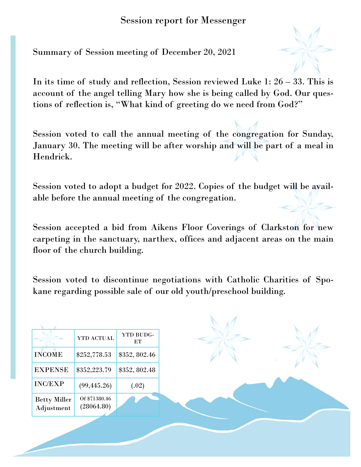## Session report for Messenger

Summary of Session meeting of December 20, 2021



In its time of study and reflection, Session reviewed Luke 1: 26 – 33. This is account of the angel telling Mary how she is being called by God. Our questions of reflection is, "What kind of greeting do we need from God?"

Session voted to call the annual meeting of the congregation for Sunday, January 30. The meeting will be after worship and will be part of a meal in Hendrick.

Session voted to adopt a budget for 2022. Copies of the budget will be available before the annual meeting of the congregation.

Session accepted a bid from Aikens Floor Coverings of Clarkston for new carpeting in the sanctuary, narthex, offices and adjacent areas on the main floor of the church building.

Session voted to discontinue negotiations with Catholic Charities of Spokane regarding possible sale of our old youth/preschool building.

|                                   | YTD ACTUAL                  | YTD BUDG-<br>ET |
|-----------------------------------|-----------------------------|-----------------|
| <b>INCOME</b>                     | \$252,778.53                | \$352, 802.46   |
| <b>EXPENSE</b>                    | \$352,223.79                | \$352, 802.48   |
| <b>INC/EXP</b>                    | (99, 445.26)                | (.02)           |
| <b>Betty Miller</b><br>Adjustment | Of \$71380.46<br>(28064.80) |                 |
|                                   |                             |                 |
|                                   |                             |                 |